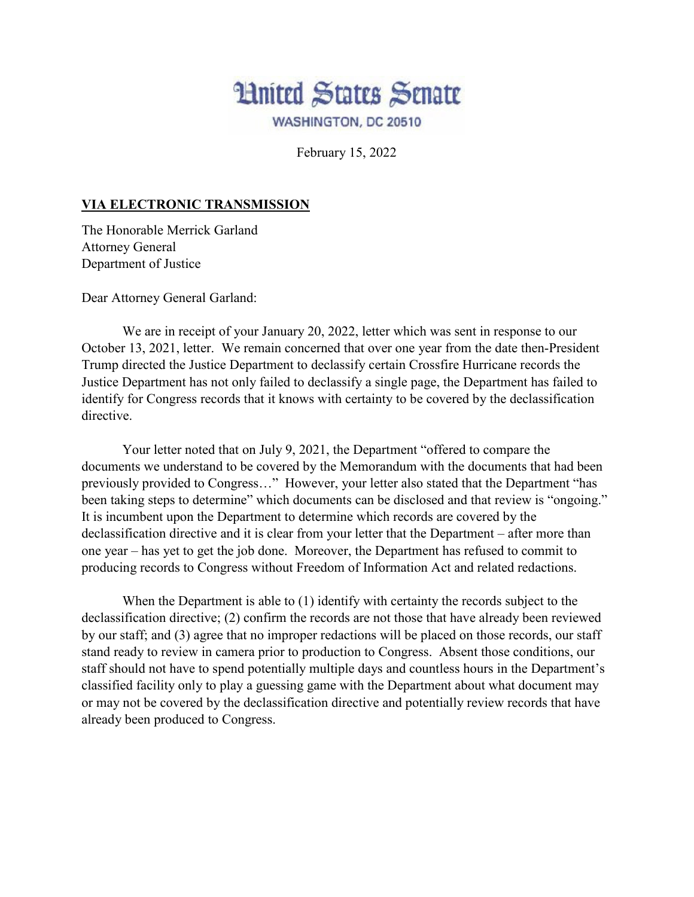

February 15, 2022

## **VIA ELECTRONIC TRANSMISSION**

The Honorable Merrick Garland Attorney General Department of Justice

Dear Attorney General Garland:

We are in receipt of your January 20, 2022, letter which was sent in response to our October 13, 2021, letter. We remain concerned that over one year from the date then-President Trump directed the Justice Department to declassify certain Crossfire Hurricane records the Justice Department has not only failed to declassify a single page, the Department has failed to identify for Congress records that it knows with certainty to be covered by the declassification directive.

Your letter noted that on July 9, 2021, the Department "offered to compare the documents we understand to be covered by the Memorandum with the documents that had been previously provided to Congress…" However, your letter also stated that the Department "has been taking steps to determine" which documents can be disclosed and that review is "ongoing." It is incumbent upon the Department to determine which records are covered by the declassification directive and it is clear from your letter that the Department – after more than one year – has yet to get the job done. Moreover, the Department has refused to commit to producing records to Congress without Freedom of Information Act and related redactions.

When the Department is able to (1) identify with certainty the records subject to the declassification directive; (2) confirm the records are not those that have already been reviewed by our staff; and (3) agree that no improper redactions will be placed on those records, our staff stand ready to review in camera prior to production to Congress. Absent those conditions, our staff should not have to spend potentially multiple days and countless hours in the Department's classified facility only to play a guessing game with the Department about what document may or may not be covered by the declassification directive and potentially review records that have already been produced to Congress.